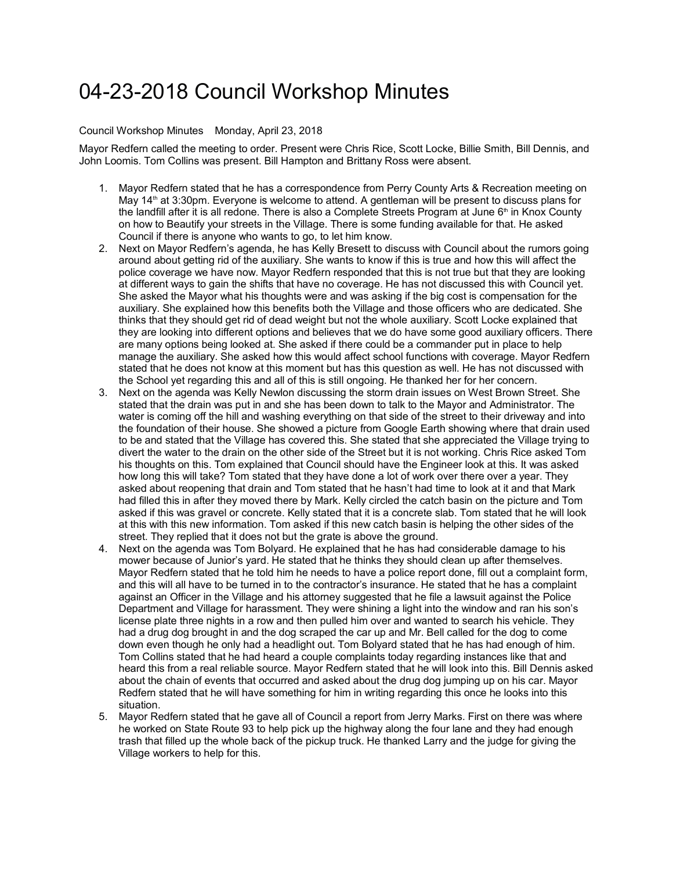## 04-23-2018 Council Workshop Minutes

## Council Workshop Minutes Monday, April 23, 2018

Mayor Redfern called the meeting to order. Present were Chris Rice, Scott Locke, Billie Smith, Bill Dennis, and John Loomis. Tom Collins was present. Bill Hampton and Brittany Ross were absent.

- 1. Mayor Redfern stated that he has a correspondence from Perry County Arts & Recreation meeting on May  $14<sup>th</sup>$  at 3:30pm. Everyone is welcome to attend. A gentleman will be present to discuss plans for the landfill after it is all redone. There is also a Complete Streets Program at June  $6<sup>th</sup>$  in Knox County on how to Beautify your streets in the Village. There is some funding available for that. He asked Council if there is anyone who wants to go, to let him know.
- 2. Next on Mayor Redfern's agenda, he has Kelly Bresett to discuss with Council about the rumors going around about getting rid of the auxiliary. She wants to know if this is true and how this will affect the police coverage we have now. Mayor Redfern responded that this is not true but that they are looking at different ways to gain the shifts that have no coverage. He has not discussed this with Council yet. She asked the Mayor what his thoughts were and was asking if the big cost is compensation for the auxiliary. She explained how this benefits both the Village and those officers who are dedicated. She thinks that they should get rid of dead weight but not the whole auxiliary. Scott Locke explained that they are looking into different options and believes that we do have some good auxiliary officers. There are many options being looked at. She asked if there could be a commander put in place to help manage the auxiliary. She asked how this would affect school functions with coverage. Mayor Redfern stated that he does not know at this moment but has this question as well. He has not discussed with the School yet regarding this and all of this is still ongoing. He thanked her for her concern.
- 3. Next on the agenda was Kelly Newlon discussing the storm drain issues on West Brown Street. She stated that the drain was put in and she has been down to talk to the Mayor and Administrator. The water is coming off the hill and washing everything on that side of the street to their driveway and into the foundation of their house. She showed a picture from Google Earth showing where that drain used to be and stated that the Village has covered this. She stated that she appreciated the Village trying to divert the water to the drain on the other side of the Street but it is not working. Chris Rice asked Tom his thoughts on this. Tom explained that Council should have the Engineer look at this. It was asked how long this will take? Tom stated that they have done a lot of work over there over a year. They asked about reopening that drain and Tom stated that he hasn't had time to look at it and that Mark had filled this in after they moved there by Mark. Kelly circled the catch basin on the picture and Tom asked if this was gravel or concrete. Kelly stated that it is a concrete slab. Tom stated that he will look at this with this new information. Tom asked if this new catch basin is helping the other sides of the street. They replied that it does not but the grate is above the ground.
- 4. Next on the agenda was Tom Bolyard. He explained that he has had considerable damage to his mower because of Junior's yard. He stated that he thinks they should clean up after themselves. Mayor Redfern stated that he told him he needs to have a police report done, fill out a complaint form, and this will all have to be turned in to the contractor's insurance. He stated that he has a complaint against an Officer in the Village and his attorney suggested that he file a lawsuit against the Police Department and Village for harassment. They were shining a light into the window and ran his son's license plate three nights in a row and then pulled him over and wanted to search his vehicle. They had a drug dog brought in and the dog scraped the car up and Mr. Bell called for the dog to come down even though he only had a headlight out. Tom Bolyard stated that he has had enough of him. Tom Collins stated that he had heard a couple complaints today regarding instances like that and heard this from a real reliable source. Mayor Redfern stated that he will look into this. Bill Dennis asked about the chain of events that occurred and asked about the drug dog jumping up on his car. Mayor Redfern stated that he will have something for him in writing regarding this once he looks into this situation.
- 5. Mayor Redfern stated that he gave all of Council a report from Jerry Marks. First on there was where he worked on State Route 93 to help pick up the highway along the four lane and they had enough trash that filled up the whole back of the pickup truck. He thanked Larry and the judge for giving the Village workers to help for this.